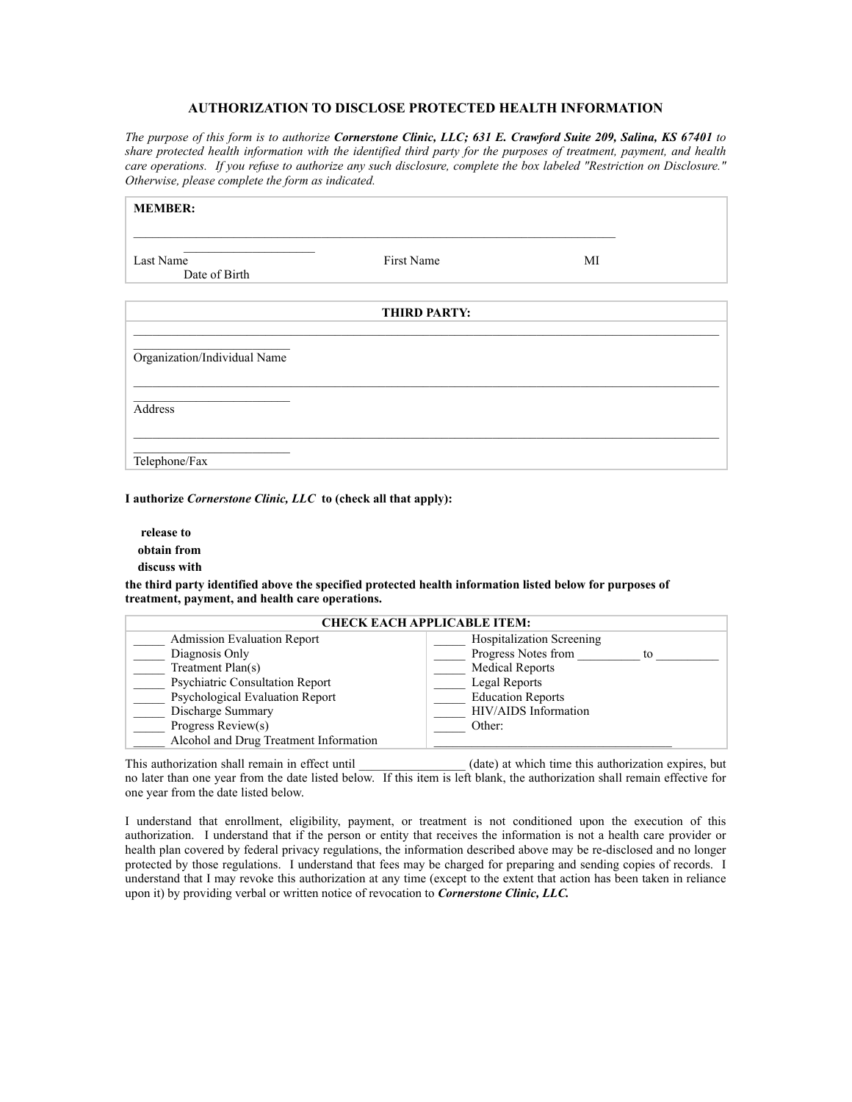## **AUTHORIZATION TO DISCLOSE PROTECTED HEALTH INFORMATION**

*The purpose of this form is to authorize Cornerstone Clinic, LLC; 631 E. Crawford Suite 209, Salina, KS 67401 to share protected health information with the identified third party for the purposes of treatment, payment, and health care operations. If you refuse to authorize any such disclosure, complete the box labeled "Restriction on Disclosure." Otherwise, please complete the form as indicated.*

| <b>MEMBER:</b>               |            |    |  |  |  |  |
|------------------------------|------------|----|--|--|--|--|
| Last Name<br>Date of Birth   | First Name | MI |  |  |  |  |
| <b>THIRD PARTY:</b>          |            |    |  |  |  |  |
| Organization/Individual Name |            |    |  |  |  |  |
| Address                      |            |    |  |  |  |  |
| Telephone/Fax                |            |    |  |  |  |  |

**I authorize** *Cornerstone Clinic, LLC* **to (check all that apply):** 

 **release to obtain from** 

 **discuss with**

**the third party identified above the specified protected health information listed below for purposes of treatment, payment, and health care operations.** 

| <b>CHECK EACH APPLICABLE ITEM:</b>     |                                  |  |  |  |  |
|----------------------------------------|----------------------------------|--|--|--|--|
| <b>Admission Evaluation Report</b>     | <b>Hospitalization Screening</b> |  |  |  |  |
| Diagnosis Only                         | Progress Notes from<br>to        |  |  |  |  |
| Treatment Plan(s)                      | <b>Medical Reports</b>           |  |  |  |  |
| <b>Psychiatric Consultation Report</b> | Legal Reports                    |  |  |  |  |
| Psychological Evaluation Report        | <b>Education Reports</b>         |  |  |  |  |
| Discharge Summary                      | HIV/AIDS Information             |  |  |  |  |
| Progress Review(s)                     | Other:                           |  |  |  |  |
| Alcohol and Drug Treatment Information |                                  |  |  |  |  |

This authorization shall remain in effect until (date) at which time this authorization expires, but no later than one year from the date listed below. If this item is left blank, the authorization shall remain effective for one year from the date listed below.

I understand that enrollment, eligibility, payment, or treatment is not conditioned upon the execution of this authorization. I understand that if the person or entity that receives the information is not a health care provider or health plan covered by federal privacy regulations, the information described above may be re-disclosed and no longer protected by those regulations. I understand that fees may be charged for preparing and sending copies of records. I understand that I may revoke this authorization at any time (except to the extent that action has been taken in reliance upon it) by providing verbal or written notice of revocation to *Cornerstone Clinic, LLC.*